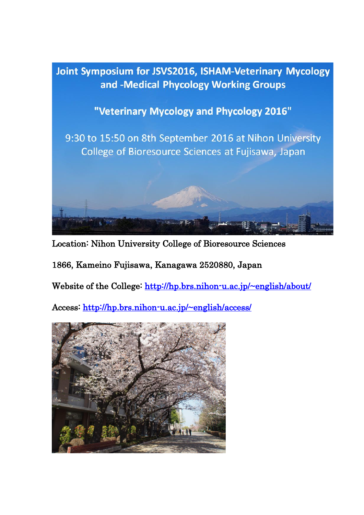

Location: Nihon University College of Bioresource Sciences

1866, Kameino Fujisawa, Kanagawa 2520880, Japan

Website of the College: http://hp.brs.nihon-u.ac.jp/~english/about/

Access:<http://hp.brs.nihon-u.ac.jp/~english/access/>

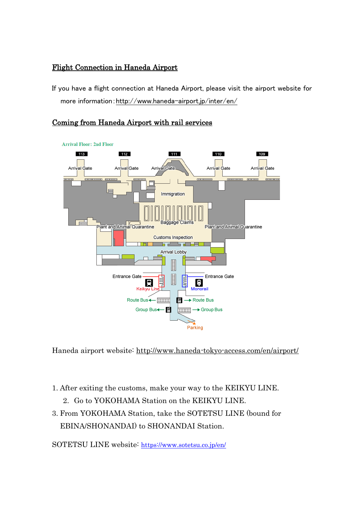## Flight Connection in Haneda Airport

If you have a flight connection at Haneda Airport, please visit the airport website for more information[:http://www.haneda-airport.jp/inter/en/](http://www.haneda-airport.jp/inter/en/)

# Coming from Haneda Airport with rail services



Haneda airport website:<http://www.haneda-tokyo-access.com/en/airport/>

- 1. After exiting the customs, make your way to the KEIKYU LINE.
	- 2. Go to YOKOHAMA Station on the KEIKYU LINE.
- 3. From YOKOHAMA Station, take the SOTETSU LINE (bound for EBINA/SHONANDAI) to SHONANDAI Station.

SOTETSU LINE website: <https://www.sotetsu.co.jp/en/>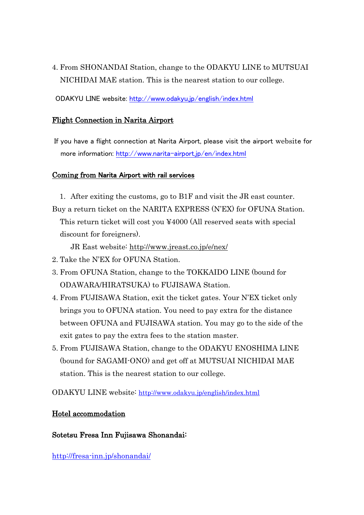4. From SHONANDAI Station, change to the ODAKYU LINE to MUTSUAI NICHIDAI MAE station. This is the nearest station to our college.

ODAKYU LINE website:<http://www.odakyu.jp/english/index.html>

#### Flight Connection in Narita Airport

If you have a flight connection at Narita Airport, please visit the airport website for more information:<http://www.narita-airport.jp/en/index.html>

#### Coming from Narita Airport with rail services

1. After exiting the customs, go to B1F and visit the JR east counter. Buy a return ticket on the NARITA EXPRESS (N'EX) for OFUNA Station. This return ticket will cost you ¥4000 (All reserved seats with special discount for foreigners).

JR East website:<http://www.jreast.co.jp/e/nex/>

- 2. Take the N'EX for OFUNA Station.
- 3. From OFUNA Station, change to the TOKKAIDO LINE (bound for ODAWARA/HIRATSUKA) to FUJISAWA Station.
- 4. From FUJISAWA Station, exit the ticket gates. Your N'EX ticket only brings you to OFUNA station. You need to pay extra for the distance between OFUNA and FUJISAWA station. You may go to the side of the exit gates to pay the extra fees to the station master.
- 5. From FUJISAWA Station, change to the ODAKYU ENOSHIMA LINE (bound for SAGAMI-ONO) and get off at MUTSUAI NICHIDAI MAE station. This is the nearest station to our college.

ODAKYU LINE website: <http://www.odakyu.jp/english/index.html>

### Hotel accommodation

### Sotetsu Fresa Inn Fujisawa Shonandai:

<http://fresa-inn.jp/shonandai/>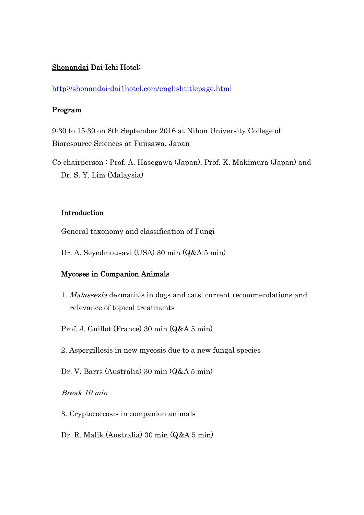## Shonandai Dai-Ichi Hotel:

<http://shonandai-dai1hotel.com/englishtitlepage.html>

#### Program

9:30 to 15:30 on 8th September 2016 at Nihon University College of Bioresource Sciences at Fujisawa, Japan

Co-chairperson : Prof. A. Hasegawa (Japan), Prof. K. Makimura (Japan) and Dr. S. Y. Lim (Malaysia)

### Introduction

General taxonomy and classification of Fungi

Dr. A. Seyedmousavi (USA) 30 min (Q&A 5 min)

## Mycoses in Companion Animals

1. Malassezia dermatitis in dogs and cats: current recommendations and relevance of topical treatments

Prof. J. Guillot (France) 30 min (Q&A 5 min)

- 2. Aspergillosis in new mycosis due to a new fungal species
- Dr. V. Barrs (Australia) 30 min (Q&A 5 min)

## Break 10 min

- 3. Cryptococcosis in companion animals
- Dr. R. Malik (Australia) 30 min (Q&A 5 min)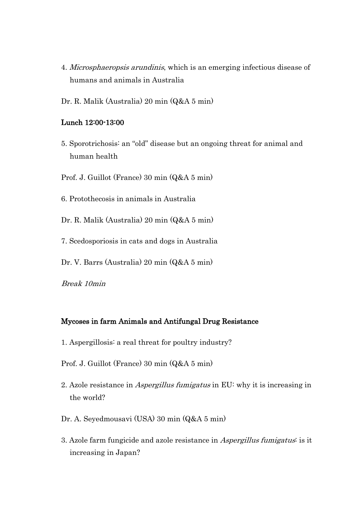- 4. Microsphaeropsis arundinis, which is an emerging infectious disease of humans and animals in Australia
- Dr. R. Malik (Australia) 20 min (Q&A 5 min)

#### Lunch 12:00-13:00

- 5. Sporotrichosis: an "old" disease but an ongoing threat for animal and human health
- Prof. J. Guillot (France) 30 min (Q&A 5 min)
- 6. Protothecosis in animals in Australia

Dr. R. Malik (Australia) 20 min (Q&A 5 min)

- 7. Scedosporiosis in cats and dogs in Australia
- Dr. V. Barrs (Australia) 20 min (Q&A 5 min)

Break 10min

#### Mycoses in farm Animals and Antifungal Drug Resistance

- 1. Aspergillosis: a real threat for poultry industry?
- Prof. J. Guillot (France) 30 min (Q&A 5 min)
- 2. Azole resistance in Aspergillus fumigatus in EU: why it is increasing in the world?
- Dr. A. Seyedmousavi (USA) 30 min (Q&A 5 min)
- 3. Azole farm fungicide and azole resistance in Aspergillus fumigatus: is it increasing in Japan?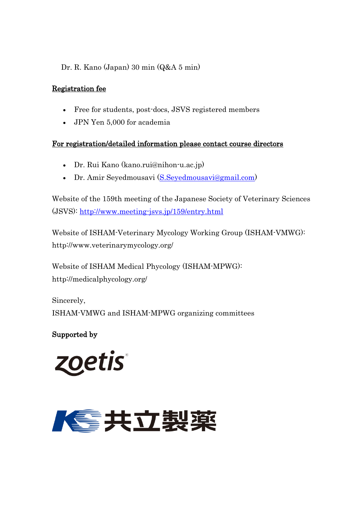# Dr. R. Kano (Japan) 30 min (Q&A 5 min)

# Registration fee

- Free for students, post-docs, JSVS registered members
- JPN Yen 5,000 for academia

## For registration/detailed information please contact course directors

- Dr. Rui Kano (kano.rui@nihon-u.ac.jp)
- Dr. Amir Seyedmousavi [\(S.Seyedmousavi@gmail.com\)](mailto:S.Seyedmousavi@gmail.com)

Website of the 159th meeting of the Japanese Society of Veterinary Sciences (JSVS): <http://www.meeting-jsvs.jp/159/entry.html>

Website of ISHAM-Veterinary Mycology Working Group (ISHAM-VMWG): http://www.veterinarymycology.org/

Website of [ISHAM Medical Phycology](http://medicalphycology.org/) (ISHAM-MPWG): http://medicalphycology.org/

Sincerely, ISHAM-VMWG and ISHAM-MPWG organizing committees

Supported by